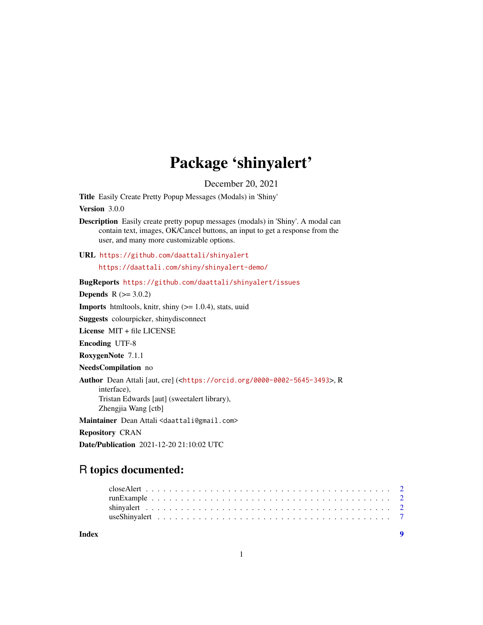## Package 'shinyalert'

December 20, 2021

Title Easily Create Pretty Popup Messages (Modals) in 'Shiny'

Version 3.0.0

- Description Easily create pretty popup messages (modals) in 'Shiny'. A modal can contain text, images, OK/Cancel buttons, an input to get a response from the user, and many more customizable options.
- URL <https://github.com/daattali/shinyalert> <https://daattali.com/shiny/shinyalert-demo/>

BugReports <https://github.com/daattali/shinyalert/issues> **Depends** R  $(>= 3.0.2)$ **Imports** htmltools, knitr, shiny  $(>= 1.0.4)$ , stats, uuid Suggests colourpicker, shinydisconnect License MIT + file LICENSE Encoding UTF-8 RoxygenNote 7.1.1 NeedsCompilation no Author Dean Attali [aut, cre] (<<https://orcid.org/0000-0002-5645-3493>>, R interface), Tristan Edwards [aut] (sweetalert library),

Zhengjia Wang [ctb]

Maintainer Dean Attali <daattali@gmail.com>

Repository CRAN

Date/Publication 2021-12-20 21:10:02 UTC

### R topics documented:

| Index |  |  |  |  |  |  |  |  |  |  |  |  |  |  |  |  |  |  |  |  |
|-------|--|--|--|--|--|--|--|--|--|--|--|--|--|--|--|--|--|--|--|--|
|       |  |  |  |  |  |  |  |  |  |  |  |  |  |  |  |  |  |  |  |  |
|       |  |  |  |  |  |  |  |  |  |  |  |  |  |  |  |  |  |  |  |  |
|       |  |  |  |  |  |  |  |  |  |  |  |  |  |  |  |  |  |  |  |  |
|       |  |  |  |  |  |  |  |  |  |  |  |  |  |  |  |  |  |  |  |  |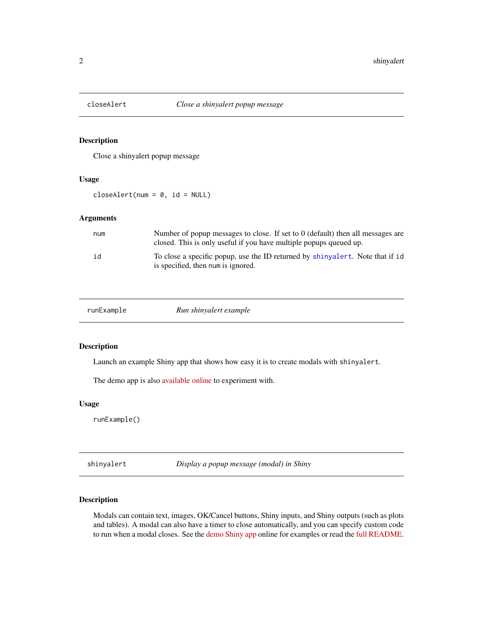<span id="page-1-2"></span><span id="page-1-0"></span>

#### Description

Close a shinyalert popup message

#### Usage

 $closeAlert(num = 0, id = NULL)$ 

#### Arguments

| num | Number of popup messages to close. If set to $\theta$ (default) then all messages are<br>closed. This is only useful if you have multiple popups queued up. |
|-----|-------------------------------------------------------------------------------------------------------------------------------------------------------------|
| id  | To close a specific popup, use the ID returned by shinyalert. Note that if id<br>is specified, then num is ignored.                                         |

| runExample | Run shinyalert example |  |
|------------|------------------------|--|
|------------|------------------------|--|

#### Description

Launch an example Shiny app that shows how easy it is to create modals with shinyalert.

The demo app is also [available online](https://daattali.com/shiny/shinyalert-demo/) to experiment with.

#### Usage

runExample()

<span id="page-1-1"></span>shinyalert *Display a popup message (modal) in Shiny*

#### Description

Modals can contain text, images, OK/Cancel buttons, Shiny inputs, and Shiny outputs (such as plots and tables). A modal can also have a timer to close automatically, and you can specify custom code to run when a modal closes. See the [demo Shiny app](https://daattali.com/shiny/shinyalert-demo/) online for examples or read the [full README.](https://github.com/daattali/shinyalert#readme)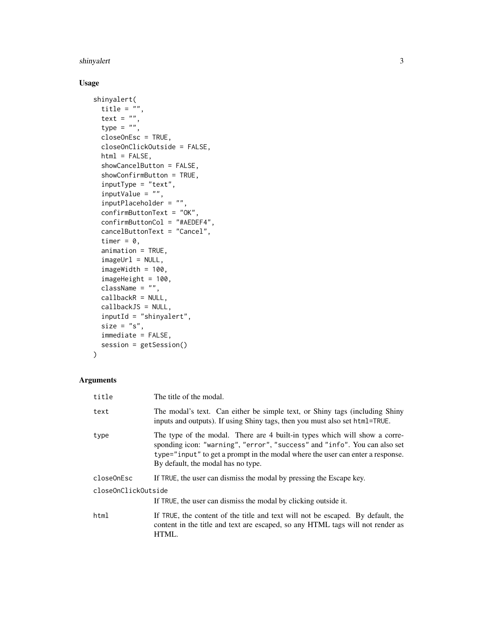#### shinyalert 3

#### Usage

```
shinyalert(
 title = ",
 text = ".
  type = ",
  closeOnEsc = TRUE,
 closeOnClickOutside = FALSE,
 html = FALSE,showCancelButton = FALSE,
  showConfirmButton = TRUE,
  inputType = "text",
  inputValue = "",inputPlaceholder = "",
  confirmButtonText = "OK",
  confirmButtonCol = "#AEDEF4",
  cancelButtonText = "Cancel",
  timer = 0,
  animation = TRUE,
  imageUr1 = NULL,imageWidth = 100,
  imageHeight = 100,
 className = ",
  callbackR = NULL,
 callbackJS = NULL,
  inputId = "shinyalert",
 size = "s",immediate = FALSE,
  session = getSession()
)
```
#### Arguments

| The title of the modal.                                                                                                                                                                                                                                                         |
|---------------------------------------------------------------------------------------------------------------------------------------------------------------------------------------------------------------------------------------------------------------------------------|
| The modal's text. Can either be simple text, or Shiny tags (including Shiny<br>inputs and outputs). If using Shiny tags, then you must also set html=TRUE.                                                                                                                      |
| The type of the modal. There are 4 built-in types which will show a corre-<br>sponding icon: "warning", "error", "success" and "info". You can also set<br>type="input" to get a prompt in the modal where the user can enter a response.<br>By default, the modal has no type. |
| If TRUE, the user can dismiss the modal by pressing the Escape key.                                                                                                                                                                                                             |
| closeOnClickOutside                                                                                                                                                                                                                                                             |
| If TRUE, the user can dismiss the modal by clicking outside it.                                                                                                                                                                                                                 |
| If TRUE, the content of the title and text will not be escaped. By default, the<br>content in the title and text are escaped, so any HTML tags will not render as<br>HTML.                                                                                                      |
|                                                                                                                                                                                                                                                                                 |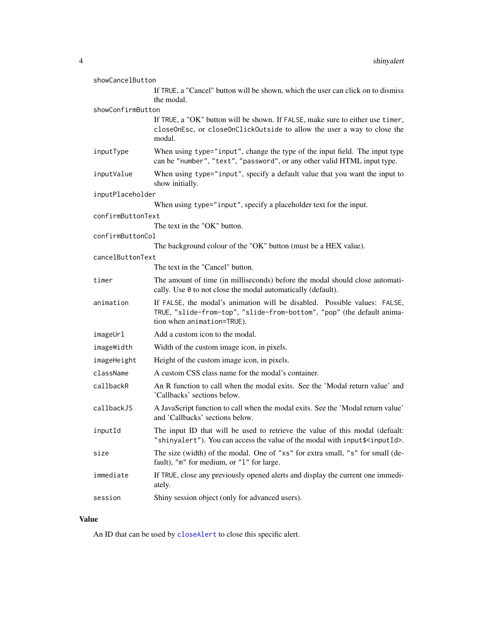<span id="page-3-0"></span>

| showCancelButton  |                                                                                                                                                                                   |
|-------------------|-----------------------------------------------------------------------------------------------------------------------------------------------------------------------------------|
|                   | If TRUE, a "Cancel" button will be shown, which the user can click on to dismiss<br>the modal.                                                                                    |
| showConfirmButton |                                                                                                                                                                                   |
|                   | If TRUE, a "OK" button will be shown. If FALSE, make sure to either use timer,<br>closeOnEsc, or closeOnClickOutside to allow the user a way to close the<br>modal.               |
| inputType         | When using type="input", change the type of the input field. The input type<br>can be "number", "text", "password", or any other valid HTML input type.                           |
| inputValue        | When using type="input", specify a default value that you want the input to<br>show initially.                                                                                    |
| inputPlaceholder  |                                                                                                                                                                                   |
|                   | When using type="input", specify a placeholder text for the input.                                                                                                                |
| confirmButtonText |                                                                                                                                                                                   |
|                   | The text in the "OK" button.                                                                                                                                                      |
| confirmButtonCol  |                                                                                                                                                                                   |
|                   | The background colour of the "OK" button (must be a HEX value).                                                                                                                   |
| cancelButtonText  | The text in the "Cancel" button.                                                                                                                                                  |
|                   |                                                                                                                                                                                   |
| timer             | The amount of time (in milliseconds) before the modal should close automati-<br>cally. Use 0 to not close the modal automatically (default).                                      |
| animation         | If FALSE, the modal's animation will be disabled. Possible values: FALSE,<br>TRUE, "slide-from-top", "slide-from-bottom", "pop" (the default anima-<br>tion when animation=TRUE). |
| imageUrl          | Add a custom icon to the modal.                                                                                                                                                   |
| imageWidth        | Width of the custom image icon, in pixels.                                                                                                                                        |
| imageHeight       | Height of the custom image icon, in pixels.                                                                                                                                       |
| className         | A custom CSS class name for the modal's container.                                                                                                                                |
| callbackR         | An R function to call when the modal exits. See the 'Modal return value' and<br>'Callbacks' sections below.                                                                       |
| callbackJS        | A JavaScript function to call when the modal exits. See the 'Modal return value'<br>and 'Callbacks' sections below.                                                               |
| inputId           | The input ID that will be used to retrieve the value of this modal (defualt:<br>"shinyalert"). You can access the value of the modal with input \$ <inputid>.</inputid>           |
| size              | The size (width) of the modal. One of "xs" for extra small, "s" for small (de-<br>fault), "m" for medium, or "1" for large.                                                       |
| immediate         | If TRUE, close any previously opened alerts and display the current one immedi-<br>ately.                                                                                         |
| session           | Shiny session object (only for advanced users).                                                                                                                                   |

#### Value

An ID that can be used by [closeAlert](#page-1-2) to close this specific alert.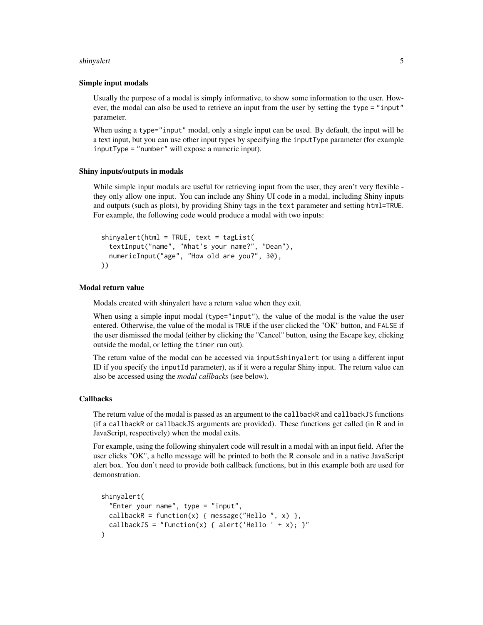#### shinyalert 5

#### Simple input modals

Usually the purpose of a modal is simply informative, to show some information to the user. However, the modal can also be used to retrieve an input from the user by setting the type = "input" parameter.

When using a type="input" modal, only a single input can be used. By default, the input will be a text input, but you can use other input types by specifying the inputType parameter (for example inputType = "number" will expose a numeric input).

#### Shiny inputs/outputs in modals

While simple input modals are useful for retrieving input from the user, they aren't very flexible they only allow one input. You can include any Shiny UI code in a modal, including Shiny inputs and outputs (such as plots), by providing Shiny tags in the text parameter and setting html=TRUE. For example, the following code would produce a modal with two inputs:

```
shinyalert(html = TRUE, text = tagList(
  textInput("name", "What's your name?", "Dean"),
  numericInput("age", "How old are you?", 30),
))
```
#### Modal return value

Modals created with shinyalert have a return value when they exit.

When using a simple input modal (type="input"), the value of the modal is the value the user entered. Otherwise, the value of the modal is TRUE if the user clicked the "OK" button, and FALSE if the user dismissed the modal (either by clicking the "Cancel" button, using the Escape key, clicking outside the modal, or letting the timer run out).

The return value of the modal can be accessed via input\$shinyalert (or using a different input ID if you specify the inputId parameter), as if it were a regular Shiny input. The return value can also be accessed using the *modal callbacks* (see below).

#### Callbacks

The return value of the modal is passed as an argument to the callbackR and callbackJS functions (if a callbackR or callbackJS arguments are provided). These functions get called (in R and in JavaScript, respectively) when the modal exits.

For example, using the following shinyalert code will result in a modal with an input field. After the user clicks "OK", a hello message will be printed to both the R console and in a native JavaScript alert box. You don't need to provide both callback functions, but in this example both are used for demonstration.

```
shinyalert(
  "Enter your name", type = "input",
 callbackR = function(x) { message("Hello ", x) },
 callbackJS = "function(x) { alert('Hello ' + x); }"
)
```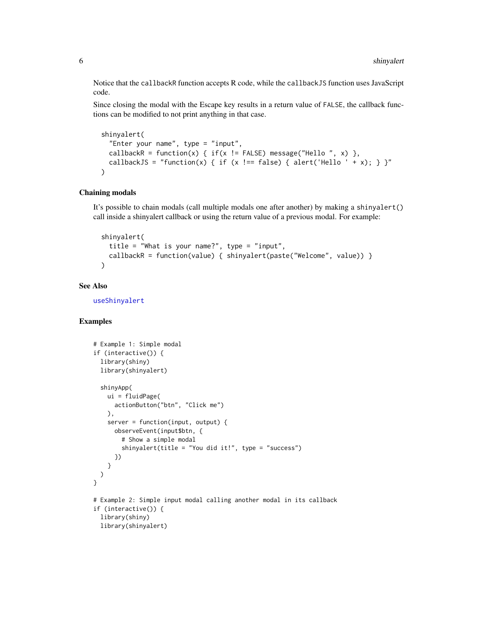<span id="page-5-0"></span>Notice that the callbackR function accepts R code, while the callbackJS function uses JavaScript code.

Since closing the modal with the Escape key results in a return value of FALSE, the callback functions can be modified to not print anything in that case.

```
shinyalert(
 "Enter your name", type = "input",
 callbackR = function(x) { if(x != FALSE) message("Hello", x) },
 callbackJS = "function(x) { if (x !== false) { alert('Hello ' + x); } }"
)
```
#### Chaining modals

It's possible to chain modals (call multiple modals one after another) by making a shinyalert() call inside a shinyalert callback or using the return value of a previous modal. For example:

```
shinyalert(
 title = "What is your name?", type = "input",
 callbackR = function(value) { shinyalert(paste("Welcome", value)) }
)
```
#### See Also

[useShinyalert](#page-6-1)

#### Examples

```
# Example 1: Simple modal
if (interactive()) {
 library(shiny)
 library(shinyalert)
 shinyApp(
   ui = fluidPage(
     actionButton("btn", "Click me")
   ),
    server = function(input, output) {
     observeEvent(input$btn, {
        # Show a simple modal
        shinyalert(title = "You did it!", type = "success")
     })
   }
 )
}
# Example 2: Simple input modal calling another modal in its callback
if (interactive()) {
 library(shiny)
 library(shinyalert)
```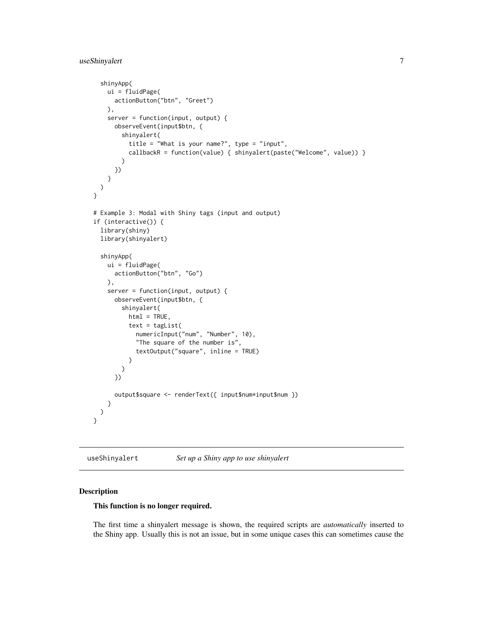#### <span id="page-6-0"></span>useShinyalert 7

```
shinyApp(
   ui = fluidPage(
     actionButton("btn", "Greet")
   ),
   server = function(input, output) {
      observeEvent(input$btn, {
        shinyalert(
          title = "What is your name?", type = "input",
          callbackR = function(value) { shinyalert(paste("Welcome", value)) }
       \lambda})
   }
 )
}
# Example 3: Modal with Shiny tags (input and output)
if (interactive()) {
 library(shiny)
 library(shinyalert)
 shinyApp(
   ui = fluidPage(
      actionButton("btn", "Go")
   ),
    server = function(input, output) {
      observeEvent(input$btn, {
       shinyalert(
         html = TRUE,text = tagList(numericInput("num", "Number", 10),
            "The square of the number is",
            textOutput("square", inline = TRUE)
         )
       )
      })
      output$square <- renderText({ input$num*input$num })
   }
 )
}
```
<span id="page-6-1"></span>useShinyalert *Set up a Shiny app to use shinyalert*

#### Description

#### This function is no longer required.

The first time a shinyalert message is shown, the required scripts are *automatically* inserted to the Shiny app. Usually this is not an issue, but in some unique cases this can sometimes cause the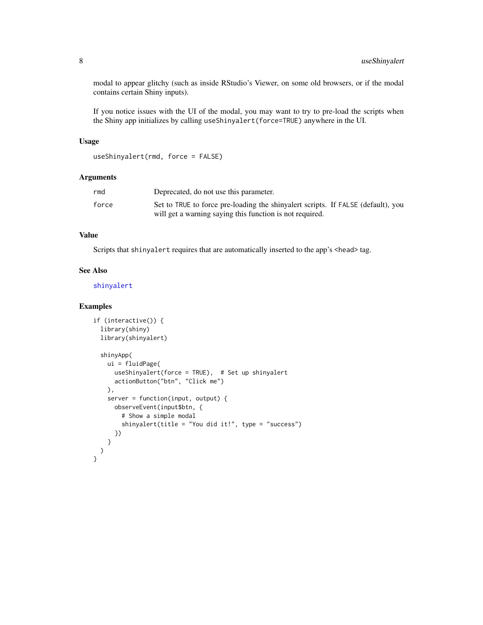<span id="page-7-0"></span>modal to appear glitchy (such as inside RStudio's Viewer, on some old browsers, or if the modal contains certain Shiny inputs).

If you notice issues with the UI of the modal, you may want to try to pre-load the scripts when the Shiny app initializes by calling useShinyalert(force=TRUE) anywhere in the UI.

#### Usage

```
useShinyalert(rmd, force = FALSE)
```
#### Arguments

| rmd   | Deprecated, do not use this parameter.                                           |
|-------|----------------------------------------------------------------------------------|
| force | Set to TRUE to force pre-loading the shinyalert scripts. If FALSE (default), you |
|       | will get a warning saying this function is not required.                         |

#### Value

Scripts that shinyalert requires that are automatically inserted to the app's <head> tag.

#### See Also

[shinyalert](#page-1-1)

#### Examples

```
if (interactive()) {
 library(shiny)
 library(shinyalert)
 shinyApp(
   ui = fluidPage(
     useShinyalert(force = TRUE), # Set up shinyalert
     actionButton("btn", "Click me")
   ),
   server = function(input, output) {
     observeEvent(input$btn, {
       # Show a simple modal
       shinyalert(title = "You did it!", type = "success")
     })
   }
 )
}
```